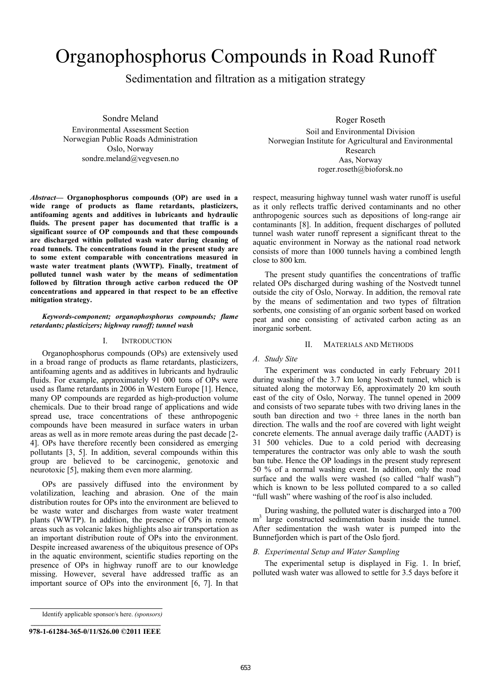# Organophosphorus Compounds in Road Runoff

Sedimentation and filtration as a mitigation strategy

Sondre Meland Environmental Assessment Section

Norwegian Public Roads Administration Oslo, Norway sondre.meland@vegvesen.no

*Abstract***— Organophosphorus compounds (OP) are used in a wide range of products as flame retardants, plasticizers, antifoaming agents and additives in lubricants and hydraulic fluids. The present paper has documented that traffic is a significant source of OP compounds and that these compounds are discharged within polluted wash water during cleaning of road tunnels. The concentrations found in the present study are to some extent comparable with concentrations measured in waste water treatment plants (WWTP). Finally, treatment of polluted tunnel wash water by the means of sedimentation followed by filtration through active carbon reduced the OP concentrations and appeared in that respect to be an effective mitigation strategy.** 

## *Keywords-component; organophosphorus compounds; flame retardants; plasticizers; highway runoff; tunnel wash*

## I. INTRODUCTION

Organophosphorus compounds (OPs) are extensively used in a broad range of products as flame retardants, plasticizers, antifoaming agents and as additives in lubricants and hydraulic fluids. For example, approximately 91 000 tons of OPs were used as flame retardants in 2006 in Western Europe [1]. Hence, many OP compounds are regarded as high-production volume chemicals. Due to their broad range of applications and wide spread use, trace concentrations of these anthropogenic compounds have been measured in surface waters in urban areas as well as in more remote areas during the past decade [2- 4]. OPs have therefore recently been considered as emerging pollutants [3, 5]. In addition, several compounds within this group are believed to be carcinogenic, genotoxic and neurotoxic [5], making them even more alarming.

OPs are passively diffused into the environment by volatilization, leaching and abrasion. One of the main distribution routes for OPs into the environment are believed to be waste water and discharges from waste water treatment plants (WWTP). In addition, the presence of OPs in remote areas such as volcanic lakes highlights also air transportation as an important distribution route of OPs into the environment. Despite increased awareness of the ubiquitous presence of OPs in the aquatic environment, scientific studies reporting on the presence of OPs in highway runoff are to our knowledge missing. However, several have addressed traffic as an important source of OPs into the environment [6, 7]. In that

Identify applicable sponsor/s here. *(sponsors)*

## **978-1-61284-365-0/11/\$26.00 ©2011 IEEE**

Roger Roseth

Soil and Environmental Division Norwegian Institute for Agricultural and Environmental Research Aas, Norway roger.roseth@bioforsk.no

respect, measuring highway tunnel wash water runoff is useful as it only reflects traffic derived contaminants and no other anthropogenic sources such as depositions of long-range air contaminants [8]. In addition, frequent discharges of polluted tunnel wash water runoff represent a significant threat to the aquatic environment in Norway as the national road network consists of more than 1000 tunnels having a combined length close to 800 km.

The present study quantifies the concentrations of traffic related OPs discharged during washing of the Nostvedt tunnel outside the city of Oslo, Norway. In addition, the removal rate by the means of sedimentation and two types of filtration sorbents, one consisting of an organic sorbent based on worked peat and one consisting of activated carbon acting as an inorganic sorbent.

#### II. MATERIALS AND METHODS

## *A. Study Site*

The experiment was conducted in early February 2011 during washing of the 3.7 km long Nostvedt tunnel, which is situated along the motorway E6, approximately 20 km south east of the city of Oslo, Norway. The tunnel opened in 2009 and consists of two separate tubes with two driving lanes in the south ban direction and two  $+$  three lanes in the north ban direction. The walls and the roof are covered with light weight concrete elements. The annual average daily traffic (AADT) is 31 500 vehicles. Due to a cold period with decreasing temperatures the contractor was only able to wash the south ban tube. Hence the OP loadings in the present study represent 50 % of a normal washing event. In addition, only the road surface and the walls were washed (so called "half wash") which is known to be less polluted compared to a so called "full wash" where washing of the roof is also included.

During washing, the polluted water is discharged into a 700 m3 large constructed sedimentation basin inside the tunnel. After sedimentation the wash water is pumped into the Bunnefjorden which is part of the Oslo fjord.

#### *B. Experimental Setup and Water Sampling*

The experimental setup is displayed in Fig. 1. In brief, polluted wash water was allowed to settle for 3.5 days before it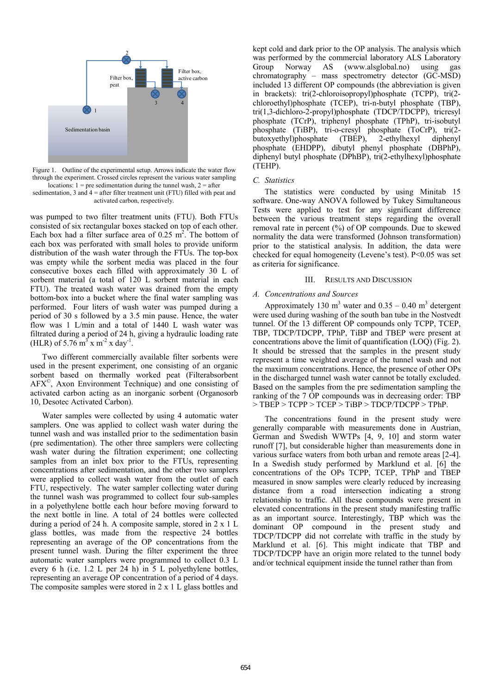

Figure 1. Outline of the experimental setup. Arrows indicate the water flow through the experiment. Crossed circles represent the various water sampling locations:  $1 =$  pre sedimentation during the tunnel wash,  $2 =$  after

sedimentation, 3 and  $4 =$  after filter treatment unit (FTU) filled with peat and activated carbon, respectively.

was pumped to two filter treatment units (FTU). Both FTUs consisted of six rectangular boxes stacked on top of each other. Each box had a filter surface area of  $0.25 \text{ m}^2$ . The bottom of each box was perforated with small holes to provide uniform distribution of the wash water through the FTUs. The top-box was empty while the sorbent media was placed in the four consecutive boxes each filled with approximately 30 L of sorbent material (a total of 120 L sorbent material in each FTU). The treated wash water was drained from the empty bottom-box into a bucket where the final water sampling was performed. Four liters of wash water was pumped during a period of 30 s followed by a 3.5 min pause. Hence, the water flow was 1 L/min and a total of 1440 L wash water was filtrated during a period of 24 h, giving a hydraulic loading rate (HLR) of 5.76 m<sup>3</sup> x m<sup>-2</sup> x day<sup>-1</sup>.

Two different commercially available filter sorbents were used in the present experiment, one consisting of an organic sorbent based on thermally worked peat (Filterabsorbent AFX©, Axon Environment Technique) and one consisting of activated carbon acting as an inorganic sorbent (Organosorb 10, Desotec Activated Carbon).

Water samples were collected by using 4 automatic water samplers. One was applied to collect wash water during the tunnel wash and was installed prior to the sedimentation basin (pre sedimentation). The other three samplers were collecting wash water during the filtration experiment; one collecting samples from an inlet box prior to the FTUs, representing concentrations after sedimentation, and the other two samplers were applied to collect wash water from the outlet of each FTU, respectively. The water sampler collecting water during the tunnel wash was programmed to collect four sub-samples in a polyethylene bottle each hour before moving forward to the next bottle in line. A total of 24 bottles were collected during a period of 24 h. A composite sample, stored in 2 x 1 L glass bottles, was made from the respective 24 bottles representing an average of the OP concentrations from the present tunnel wash. During the filter experiment the three automatic water samplers were programmed to collect 0.3 L every 6 h (i.e. 1.2 L per 24 h) in 5 L polyethylene bottles, representing an average OP concentration of a period of 4 days. The composite samples were stored in 2 x 1 L glass bottles and

kept cold and dark prior to the OP analysis. The analysis which was performed by the commercial laboratory ALS Laboratory Group Norway AS (www.alsglobal.no) using gas chromatography – mass spectrometry detector (GC-MSD) included 13 different OP compounds (the abbreviation is given in brackets): tri(2-chloroisopropyl)phosphate (TCPP), tri(2 chloroethyl)phosphate (TCEP), tri-n-butyl phosphate (TBP), tri(1,3-dichloro-2-propyl)phosphate (TDCP/TDCPP), tricresyl phosphate (TCrP), triphenyl phosphate (TPhP), tri-isobutyl phosphate (TiBP), tri-o-cresyl phosphate (ToCrP), tri(2 butoxyethyl)phosphate (TBEP), 2-ethylhexyl diphenyl phosphate (EHDPP), dibutyl phenyl phosphate (DBPhP), diphenyl butyl phosphate (DPhBP), tri(2-ethylhexyl)phosphate (TEHP).

#### *C. Statistics*

The statistics were conducted by using Minitab 15 software. One-way ANOVA followed by Tukey Simultaneous Tests were applied to test for any significant difference between the various treatment steps regarding the overall removal rate in percent (%) of OP compounds. Due to skewed normality the data were transformed (Johnson transformation) prior to the statistical analysis. In addition, the data were checked for equal homogeneity (Levene's test). P<0.05 was set as criteria for significance.

## III. RESULTS AND DISCUSSION

# *A. Concentrations and Sources*

Approximately 130 m<sup>3</sup> water and  $0.35 - 0.40$  m<sup>3</sup> detergent were used during washing of the south ban tube in the Nostvedt tunnel. Of the 13 different OP compounds only TCPP, TCEP, TBP, TDCP/TDCPP, TPhP, TiBP and TBEP were present at concentrations above the limit of quantification (LOQ) (Fig. 2). It should be stressed that the samples in the present study represent a time weighted average of the tunnel wash and not the maximum concentrations. Hence, the presence of other OPs in the discharged tunnel wash water cannot be totally excluded. Based on the samples from the pre sedimentation sampling the ranking of the 7 OP compounds was in decreasing order: TBP > TBEP > TCPP > TCEP > TiBP > TDCP/TDCPP > TPhP.

The concentrations found in the present study were generally comparable with measurements done in Austrian, German and Swedish WWTPs [4, 9, 10] and storm water runoff [7], but considerable higher than measurements done in various surface waters from both urban and remote areas [2-4]. In a Swedish study performed by Marklund et al. [6] the concentrations of the OPs TCPP, TCEP, TPhP and TBEP measured in snow samples were clearly reduced by increasing distance from a road intersection indicating a strong relationship to traffic. All these compounds were present in elevated concentrations in the present study manifesting traffic as an important source. Interestingly, TBP which was the dominant OP compound in the present study and TDCP/TDCPP did not correlate with traffic in the study by Marklund et al. [6]. This might indicate that TBP and TDCP/TDCPP have an origin more related to the tunnel body and/or technical equipment inside the tunnel rather than from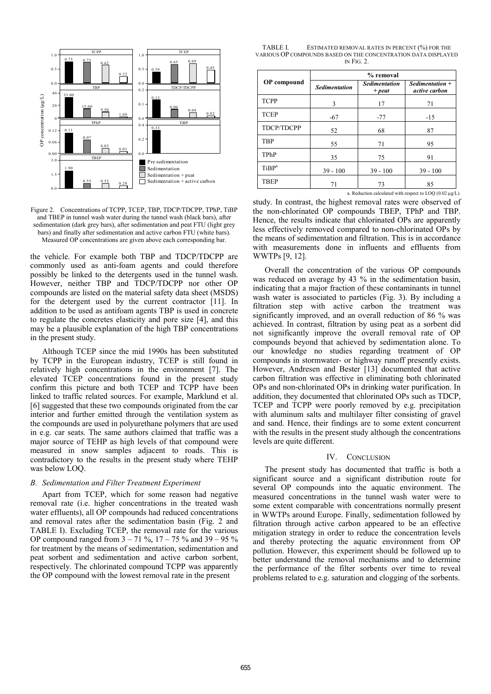

Figure 2. Concentrations of TCPP, TCEP, TBP, TDCP/TDCPP, TPhP, TiBP and TBEP in tunnel wash water during the tunnel wash (black bars), after sedimentation (dark grey bars), after sedimentation and peat FTU (light grey bars) and finally after sedimentation and active carbon FTU (white bars). Measured OP concentrations are given above each corresponding bar.

the vehicle. For example both TBP and TDCP/TDCPP are commonly used as anti-foam agents and could therefore possibly be linked to the detergents used in the tunnel wash. However, neither TBP and TDCP/TDCPP nor other OP compounds are listed on the material safety data sheet (MSDS) for the detergent used by the current contractor [11]. In addition to be used as antifoam agents TBP is used in concrete to regulate the concretes elasticity and pore size [4], and this may be a plausible explanation of the high TBP concentrations in the present study.

Although TCEP since the mid 1990s has been substituted by TCPP in the European industry, TCEP is still found in relatively high concentrations in the environment [7]. The elevated TCEP concentrations found in the present study confirm this picture and both TCEP and TCPP have been linked to traffic related sources. For example, Marklund et al. [6] suggested that these two compounds originated from the car interior and further emitted through the ventilation system as the compounds are used in polyurethane polymers that are used in e.g. car seats. The same authors claimed that traffic was a major source of TEHP as high levels of that compound were measured in snow samples adjacent to roads. This is contradictory to the results in the present study where TEHP was below LOQ.

## *B. Sedimentation and Filter Treatment Experiment*

Apart from TCEP, which for some reason had negative removal rate (i.e. higher concentrations in the treated wash water effluents), all OP compounds had reduced concentrations and removal rates after the sedimentation basin (Fig. 2 and TABLE I). Excluding TCEP, the removal rate for the various OP compound ranged from  $3 - 71\%$ ,  $17 - 75\%$  and  $39 - 95\%$ for treatment by the means of sedimentation, sedimentation and peat sorbent and sedimentation and active carbon sorbent, respectively. The chlorinated compound TCPP was apparently the OP compound with the lowest removal rate in the present

TABLE I. ESTIMATED REMOVAL RATES IN PERCENT (%) FOR THE VARIOUS OP COMPOUNDS BASED ON THE CONCENTRATION DATA DISPLAYED IN FIG. 2.

| <b>OP</b> compound | % removal            |                                  |                                    |
|--------------------|----------------------|----------------------------------|------------------------------------|
|                    | <b>Sedimentation</b> | <b>Sedimentation</b><br>$+$ peat | $Sedimentation +$<br>active carbon |
| <b>TCPP</b>        | 3                    | 17                               | 71                                 |
| <b>TCEP</b>        | $-67$                | $-77$                            | $-15$                              |
| <b>TDCP/TDCPP</b>  | 52                   | 68                               | 87                                 |
| <b>TBP</b>         | 55                   | 71                               | 95                                 |
| TPhP               | 35                   | 75                               | 91                                 |
| TiBP <sup>a</sup>  | $39 - 100$           | $39 - 100$                       | $39 - 100$                         |
| <b>TBEP</b>        | 71                   | 73                               | 85                                 |

a. Reduction calculated with respect to LOQ (0.02 µg/L).

study. In contrast, the highest removal rates were observed of the non-chlorinated OP compounds TBEP, TPhP and TBP. Hence, the results indicate that chlorinated OPs are apparently less effectively removed compared to non-chlorinated OPs by the means of sedimentation and filtration. This is in accordance with measurements done in influents and effluents from WWTPs [9, 12].

Overall the concentration of the various OP compounds was reduced on average by 43 % in the sedimentation basin, indicating that a major fraction of these contaminants in tunnel wash water is associated to particles (Fig. 3). By including a filtration step with active carbon the treatment was significantly improved, and an overall reduction of 86 % was achieved. In contrast, filtration by using peat as a sorbent did not significantly improve the overall removal rate of OP compounds beyond that achieved by sedimentation alone. To our knowledge no studies regarding treatment of OP compounds in stormwater- or highway runoff presently exists. However, Andresen and Bester [13] documented that active carbon filtration was effective in eliminating both chlorinated OPs and non-chlorinated OPs in drinking water purification. In addition, they documented that chlorinated OPs such as TDCP, TCEP and TCPP were poorly removed by e.g. precipitation with aluminum salts and multilayer filter consisting of gravel and sand. Hence, their findings are to some extent concurrent with the results in the present study although the concentrations levels are quite different.

#### IV. CONCLUSION

The present study has documented that traffic is both a significant source and a significant distribution route for several OP compounds into the aquatic environment. The measured concentrations in the tunnel wash water were to some extent comparable with concentrations normally present in WWTPs around Europe. Finally, sedimentation followed by filtration through active carbon appeared to be an effective mitigation strategy in order to reduce the concentration levels and thereby protecting the aquatic environment from OP pollution. However, this experiment should be followed up to better understand the removal mechanisms and to determine the performance of the filter sorbents over time to reveal problems related to e.g. saturation and clogging of the sorbents.